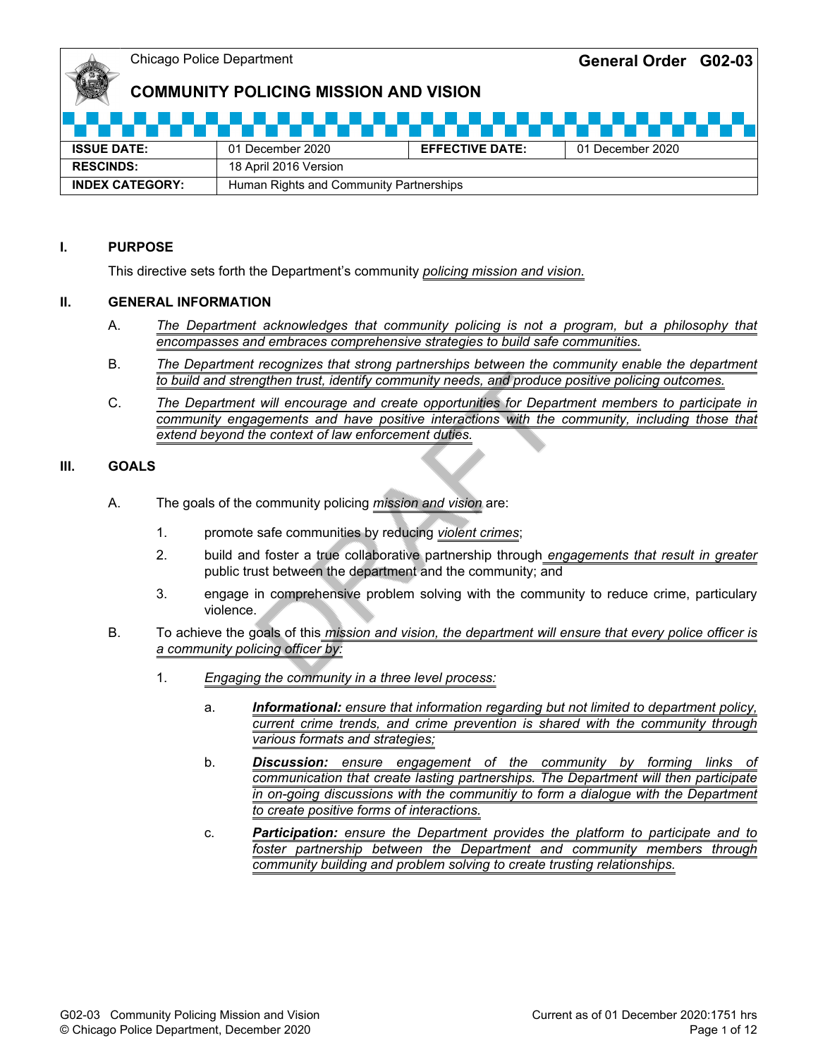# **COMMUNITY POLICING MISSION AND VISION**

| <b>ISSUE DATE:</b>                                                | 01 December 2020      | <b>EFFECTIVE DATE:</b> | 01 December 2020 |
|-------------------------------------------------------------------|-----------------------|------------------------|------------------|
| <b>RESCINDS:</b>                                                  | 18 April 2016 Version |                        |                  |
| <b>INDEX CATEGORY:</b><br>Human Rights and Community Partnerships |                       |                        |                  |

#### **I. PURPOSE**

This directive sets forth the Department's community *policing mission and vision.*

#### **II. GENERAL INFORMATION**

- A. *The Department acknowledges that community policing is not a program, but a philosophy that encompasses and embraces comprehensive strategies to build safe communities.*
- B. *The Department recognizes that strong partnerships between the community enable the department to build and strengthen trust, identify community needs, and produce positive policing outcomes.*
- C. *The Department will encourage and create opportunities for Department members to participate in community engagements and have positive interactions with the community, including those that extend beyond the context of law enforcement duties.*

#### **III. GOALS**

- A. The goals of the community policing *mission and vision* are:
	- 1. promote safe communities by reducing *violent crimes*;
	- 2. build and foster a true collaborative partnership through *engagements that result in greater* public trust between the department and the community;  $\overline{\mathsf{and}}$
	- 3. engage in comprehensive problem solving with the community to reduce crime, particulary violence.
- B. To achieve the goals of this *mission and vision, the department will ensure that every police officer is a community policing officer by:*
	- 1. *Engaging the community in a three level process:*
		- a. *Informational: ensure that information regarding but not limited to department policy, current crime trends, and crime prevention is shared with the community through various formats and strategies;*
		- b. *Discussion: ensure engagement of the community by forming links of communication that create lasting partnerships. The Department will then participate in on-going discussions with the communitiy to form a dialogue with the Department to create positive forms of interactions.*
		- c. *Participation: ensure the Department provides the platform to participate and to foster partnership between the Department and community members through community building and problem solving to create trusting relationships.*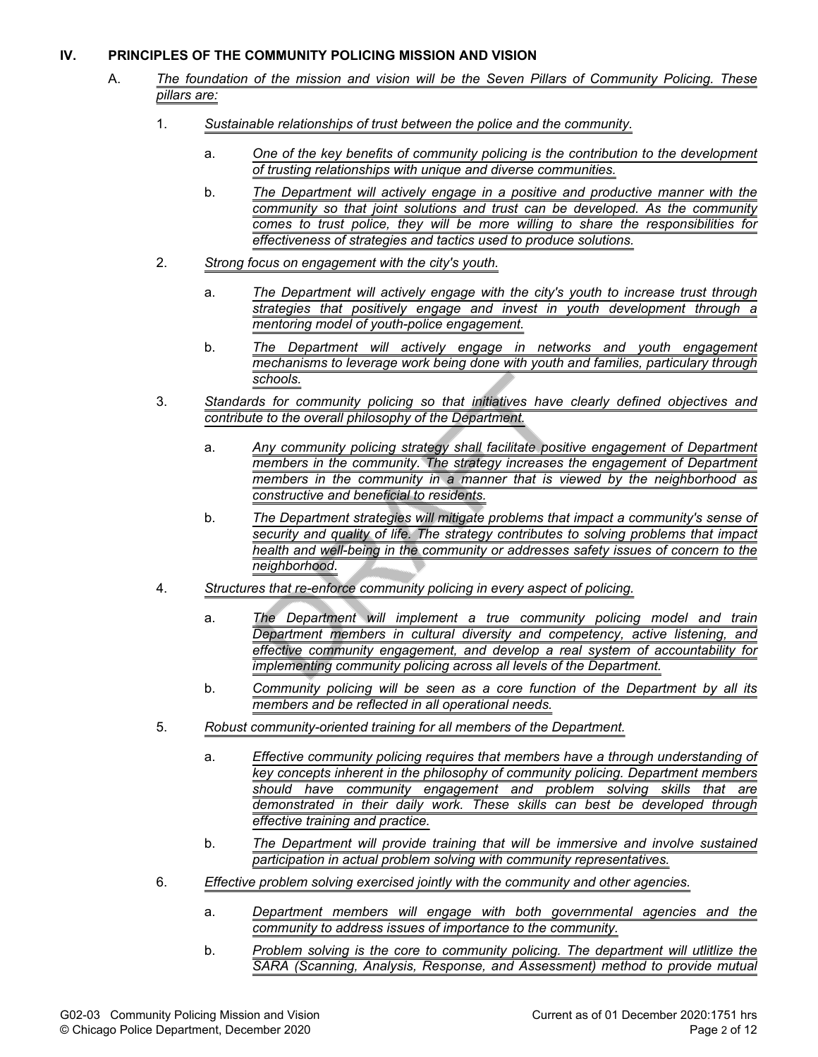#### **IV. PRINCIPLES OF THE COMMUNITY POLICING MISSION AND VISION**

- A. *The foundation of the mission and vision will be the Seven Pillars of Community Policing. These pillars are:*
	- 1. *Sustainable relationships of trust between the police and the community.*
		- a. *One of the key benefits of community policing is the contribution to the development of trusting relationships with unique and diverse communities.*
		- b. *The Department will actively engage in a positive and productive manner with the community so that joint solutions and trust can be developed. As the community comes to trust police, they will be more willing to share the responsibilities for effectiveness of strategies and tactics used to produce solutions.*
	- 2. *Strong focus on engagement with the city's youth.*
		- a. *The Department will actively engage with the city's youth to increase trust through strategies that positively engage and invest in youth development through a mentoring model of youth-police engagement.*
		- b. *The Department will actively engage in networks and youth engagement mechanisms to leverage work being done with youth and families, particulary through schools.*
	- 3. *Standards for community policing so that initiatives have clearly defined objectives and contribute to the overall philosophy of the Department.*
		- a. *Any community policing strategy shall facilitate positive engagement of Department members in the community. The strategy increases the engagement of Department members in the community in a manner that is viewed by the neighborhood as constructive and beneficial to residents.*
		- b. *The Department strategies will mitigate problems that impact a community's sense of security and quality of life. The strategy contributes to solving problems that impact health and well-being in the community or addresses safety issues of concern to the neighborhood.*
	- 4. *Structures that re-enforce community policing in every aspect of policing.*
		- a. *The Department will implement a true community policing model and train Department members in cultural diversity and competency, active listening, and effective community engagement, and develop a real system of accountability for implementing community policing across all levels of the Department.*
		- b. *Community policing will be seen as a core function of the Department by all its members and be reflected in all operational needs.*
	- 5. *Robust community-oriented training for all members of the Department.*
		- a. *Effective community policing requires that members have a through understanding of key concepts inherent in the philosophy of community policing. Department members should have community engagement and problem solving skills that are demonstrated in their daily work. These skills can best be developed through effective training and practice.*
		- b. *The Department will provide training that will be immersive and involve sustained participation in actual problem solving with community representatives.*
	- 6. *Effective problem solving exercised jointly with the community and other agencies.*
		- a. *Department members will engage with both governmental agencies and the community to address issues of importance to the community.*
		- b. *Problem solving is the core to community policing. The department will utlitlize the SARA (Scanning, Analysis, Response, and Assessment) method to provide mutual*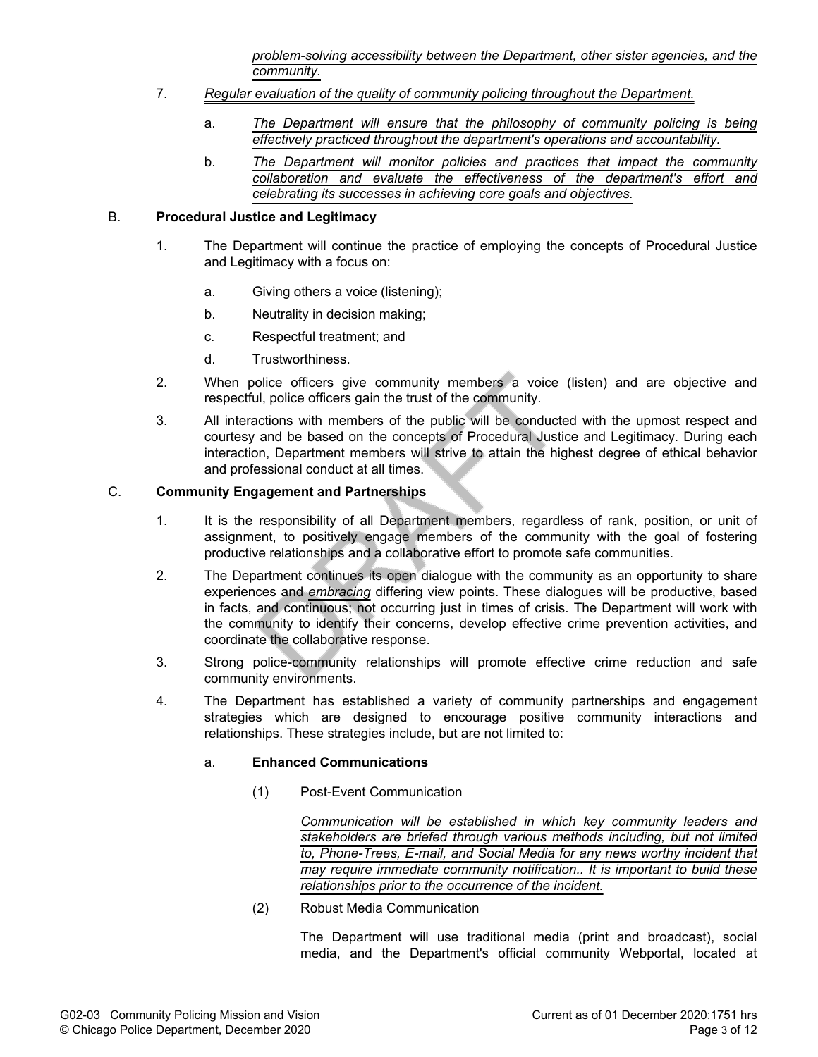*problem-solving accessibility between the Department, other sister agencies, and the community.*

- 7. *Regular evaluation of the quality of community policing throughout the Department.*
	- a. *The Department will ensure that the philosophy of community policing is being effectively practiced throughout the department's operations and accountability.*
	- b. *The Department will monitor policies and practices that impact the community collaboration and evaluate the effectiveness of the department's effort and celebrating its successes in achieving core goals and objectives.*

#### B. **Procedural Justice and Legitimacy**

- 1. The Department will continue the practice of employing the concepts of Procedural Justice and Legitimacy with a focus on:
	- a. Giving others a voice (listening);
	- b. Neutrality in decision making;
	- c. Respectful treatment; and
	- d. Trustworthiness.
- 2. When police officers give community members a voice (listen) and are objective and respectful, police officers gain the trust of the community.
- 3. All interactions with members of the public will be conducted with the upmost respect and courtesy and be based on the concepts of Procedural Justice and Legitimacy. During each interaction, Department members will strive to attain the highest degree of ethical behavior and professional conduct at all times.

#### C. **Community Engagement and Partnerships**

- 1. It is the responsibility of all Department members, regardless of rank, position, or unit of assignment, to positively engage members of the community with the goal of fostering productive relationships and a collaborative effort to promote safe communities.
- 2. The Department continues its open dialogue with the community as an opportunity to share experiences and *embracing* differing view points. These dialogues will be productive, based in facts, and continuous; not occurring just in times of crisis. The Department will work with the community to identify their concerns, develop effective crime prevention activities, and coordinate the collaborative response.
- 3. Strong police-community relationships will promote effective crime reduction and safe community environments.
- 4. The Department has established a variety of community partnerships and engagement strategies which are designed to encourage positive community interactions and relationships. These strategies include, but are not limited to:

#### a. **Enhanced Communications**

(1) Post-Event Communication

*Communication will be established in which key community leaders and stakeholders are briefed through various methods including, but not limited to, Phone-Trees, E-mail, and Social Media for any news worthy incident that may require immediate community notification.. It is important to build these relationships prior to the occurrence of the incident.*

(2) Robust Media Communication

The Department will use traditional media (print and broadcast), social media, and the Department's official community Webportal, located at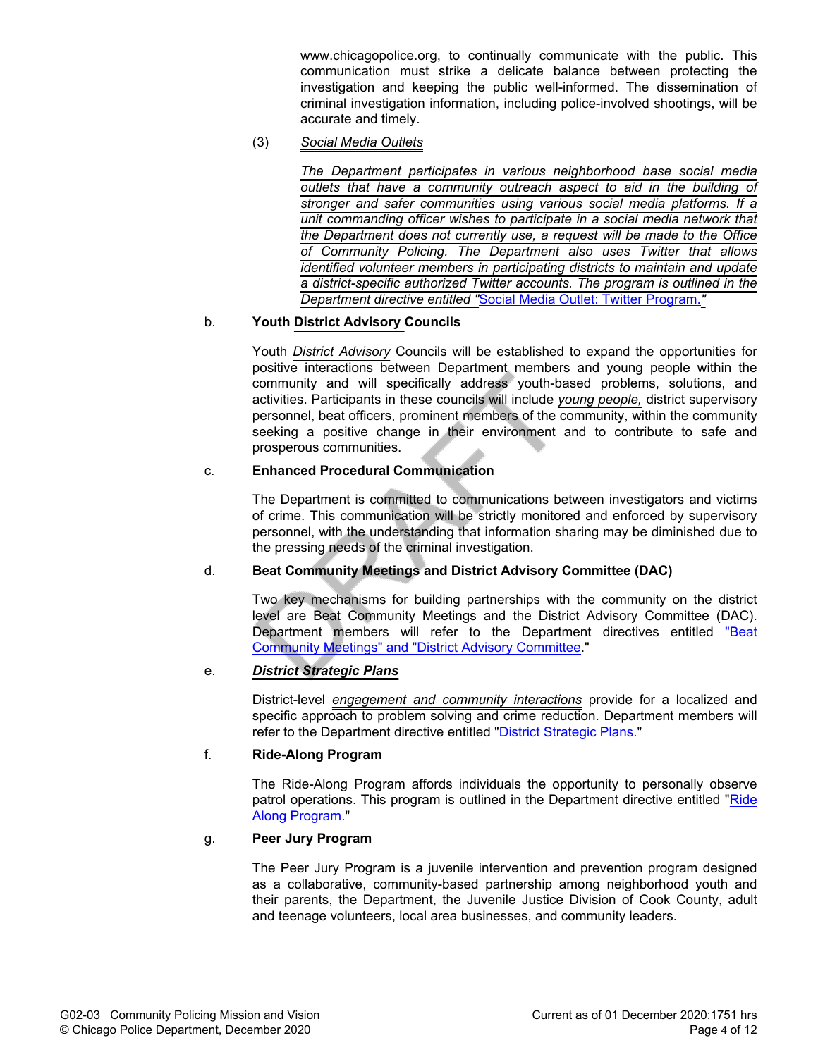www.chicagopolice.org, to continually communicate with the public. This communication must strike a delicate balance between protecting the investigation and keeping the public well-informed. The dissemination of criminal investigation information, including police-involved shootings, will be accurate and timely.

(3) *Social Media Outlets*

*The Department participates in various neighborhood base social media outlets that have a community outreach aspect to aid in the building of stronger and safer communities using various social media platforms. If a unit commanding officer wishes to participate in a social media network that the Department does not currently use, a request will be made to the Office of Community Policing. The Department also uses Twitter that allows identified volunteer members in participating districts to maintain and update a district-specific authorized Twitter accounts. The program is outlined in the Department directive entitled "*Social Media Outlet: Twitter Program.*"*

## b. **Youth District Advisory Councils**

Youth *District Advisory* Councils will be established to expand the opportunities for positive interactions between Department members and young people within the community and will specifically address youth-based problems, solutions, and activities. Participants in these councils will include *young people,* district supervisory personnel, beat officers, prominent members of the community, within the community seeking a positive change in their environment and to contribute to safe and prosperous communities.

#### c. **Enhanced Procedural Communication**

The Department is committed to communications between investigators and victims of crime. This communication will be strictly monitored and enforced by supervisory personnel, with the understanding that information sharing may be diminished due to the pressing needs of the criminal investigation.

#### d. **Beat Community Meetings and District Advisory Committee (DAC)**

Two key mechanisms for building partnerships with the community on the district level are Beat Community Meetings and the District Advisory Committee (DAC). Department members will refer to the Department directives entitled "Beat Community Meetings" and "District Advisory Committee."

#### e. *District Strategic Plans*

District-level *engagement and community interactions* provide for a localized and specific approach to problem solving and crime reduction. Department members will refer to the Department directive entitled "District Strategic Plans."

#### f. **Ride-Along Program**

The Ride-Along Program affords individuals the opportunity to personally observe patrol operations. This program is outlined in the Department directive entitled "Ride Along Program."

#### g. **Peer Jury Program**

The Peer Jury Program is a juvenile intervention and prevention program designed as a collaborative, community-based partnership among neighborhood youth and their parents, the Department, the Juvenile Justice Division of Cook County, adult and teenage volunteers, local area businesses, and community leaders.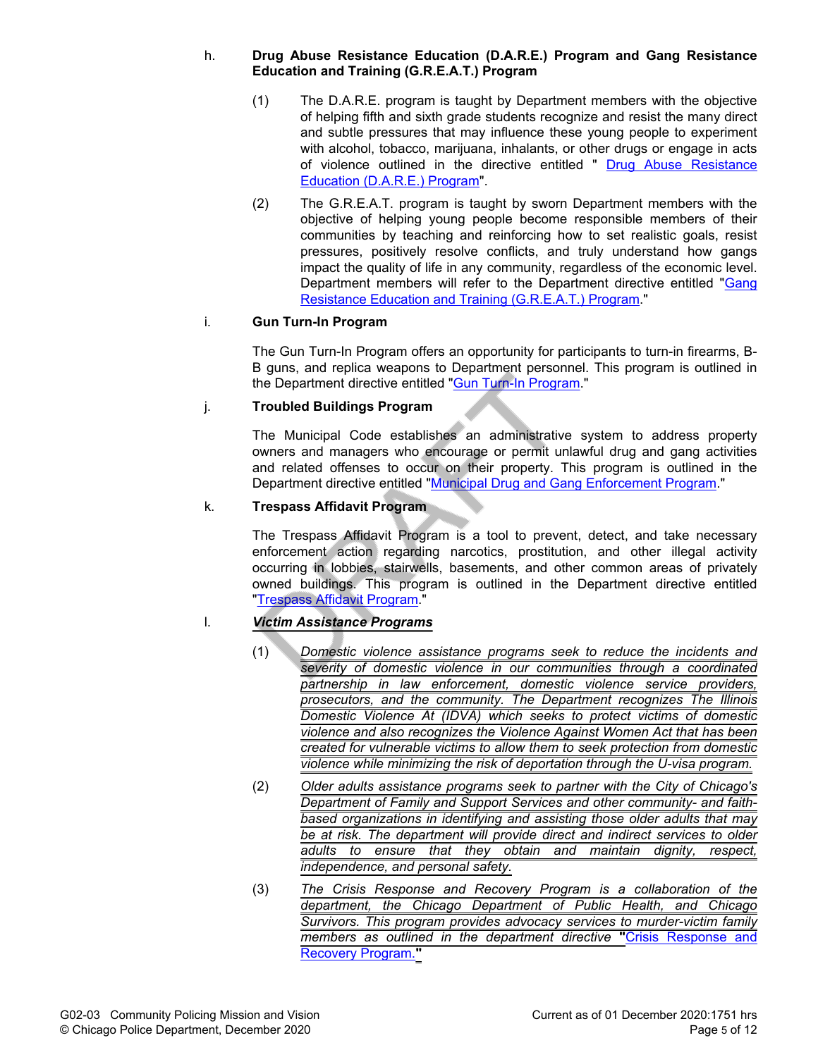#### h. **Drug Abuse Resistance Education (D.A.R.E.) Program and Gang Resistance Education and Training (G.R.E.A.T.) Program**

- (1) The D.A.R.E. program is taught by Department members with the objective of helping fifth and sixth grade students recognize and resist the many direct and subtle pressures that may influence these young people to experiment with alcohol, tobacco, marijuana, inhalants, or other drugs or engage in acts of violence outlined in the directive entitled " Drug Abuse Resistance Education (D.A.R.E.) Program".
- (2) The G.R.E.A.T. program is taught by sworn Department members with the objective of helping young people become responsible members of their communities by teaching and reinforcing how to set realistic goals, resist pressures, positively resolve conflicts, and truly understand how gangs impact the quality of life in any community, regardless of the economic level. Department members will refer to the Department directive entitled "Gang Resistance Education and Training (G.R.E.A.T.) Program."

# i. **Gun Turn-In Program**

The Gun Turn-In Program offers an opportunity for participants to turn-in firearms, B-B guns, and replica weapons to Department personnel. This program is outlined in the Department directive entitled "Gun Turn-In Program."

## j. **Troubled Buildings Program**

The Municipal Code establishes an administrative system to address property owners and managers who encourage or permit unlawful drug and gang activities and related offenses to occur on their property. This program is outlined in the Department directive entitled "Municipal Drug and Gang Enforcement Program."

## k. **Trespass Affidavit Program**

The Trespass Affidavit Program is a tool to prevent, detect, and take necessary enforcement action regarding narcotics, prostitution, and other illegal activity occurring in lobbies, stairwells, basements, and other common areas of privately owned buildings. This program is outlined in the Department directive entitled "Trespass Affidavit Program."

# l. *Victim Assistance Programs*

- (1) *Domestic violence assistance programs seek to reduce the incidents and severity of domestic violence in our communities through a coordinated partnership in law enforcement, domestic violence service providers, prosecutors, and the community. The Department recognizes The Illinois Domestic Violence At (IDVA) which seeks to protect victims of domestic violence and also recognizes the Violence Against Women Act that has been created for vulnerable victims to allow them to seek protection from domestic violence while minimizing the risk of deportation through the U-visa program.*
- (2) *Older adults assistance programs seek to partner with the City of Chicago's Department of Family and Support Services and other community- and faithbased organizations in identifying and assisting those older adults that may be at risk. The department will provide direct and indirect services to older adults to ensure that they obtain and maintain dignity, respect, independence, and personal safety.*
- (3) *The Crisis Response and Recovery Program is a collaboration of the department, the Chicago Department of Public Health, and Chicago Survivors. This program provides advocacy services to murder-victim family members as outlined in the department directive* **"**Crisis Response and Recovery Program.**"**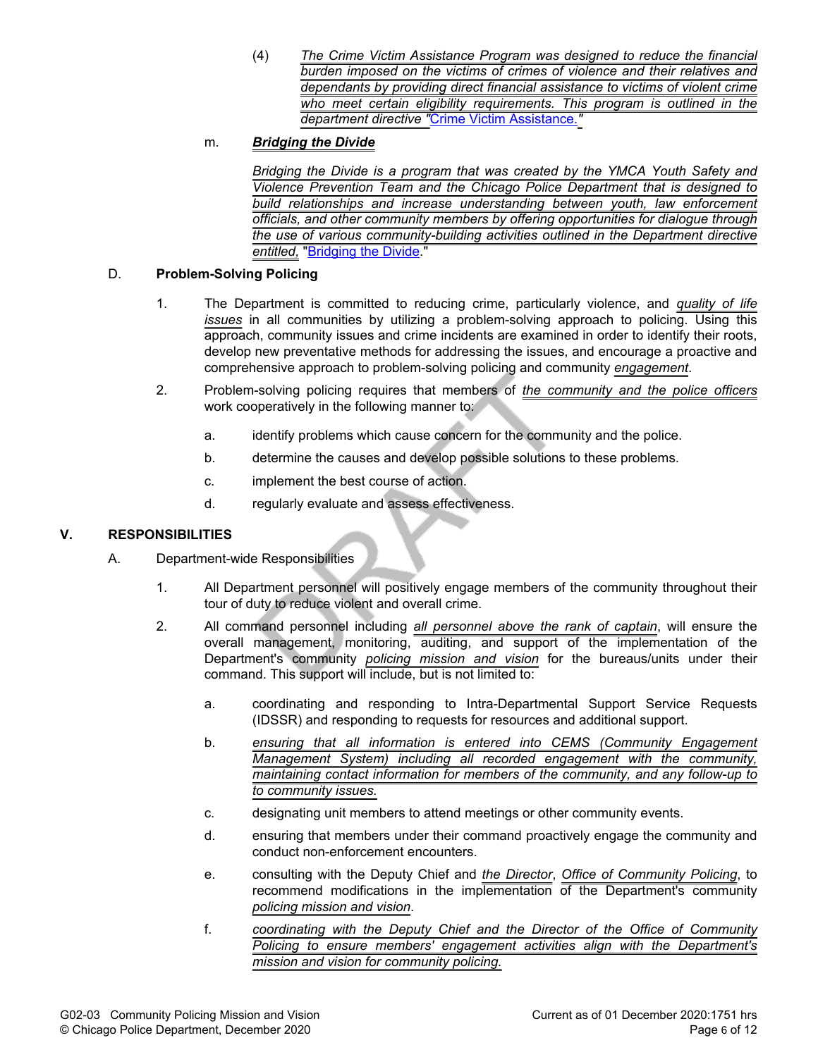(4) *The Crime Victim Assistance Program was designed to reduce the financial burden imposed on the victims of crimes of violence and their relatives and dependants by providing direct financial assistance to victims of violent crime who meet certain eligibility requirements. This program is outlined in the department directive "*Crime Victim Assistance.*"*

# m. *Bridging the Divide*

*Bridging the Divide is a program that was created by the YMCA Youth Safety and Violence Prevention Team and the Chicago Police Department that is designed to build relationships and increase understanding between youth, law enforcement officials, and other community members by offering opportunities for dialogue through the use of various community-building activities outlined in the Department directive entitled,* "Bridging the Divide."

#### D. **Problem-Solving Policing**

- 1. The Department is committed to reducing crime, particularly violence, and *quality of life issues* in all communities by utilizing a problem-solving approach to policing. Using this approach, community issues and crime incidents are examined in order to identify their roots, develop new preventative methods for addressing the issues, and encourage a proactive and comprehensive approach to problem-solving policing and community *engagement*.
- 2. Problem-solving policing requires that members of *the community and the police officers* work cooperatively in the following manner to:
	- a. identify problems which cause concern for the community and the police.
	- b. determine the causes and develop possible solutions to these problems.
	- c. implement the best course of action.
	- d. regularly evaluate and assess effectiveness.

## **V. RESPONSIBILITIES**

- A. Department-wide Responsibilities
	- 1. All Department personnel will positively engage members of the community throughout their tour of duty to reduce violent and overall crime.
	- 2. All command personnel including *all personnel above the rank of captain*, will ensure the overall management, monitoring, auditing, and support of the implementation of the Department's community *policing mission and vision* for the bureaus/units under their command. This support will include, but is not limited to:
		- a. coordinating and responding to Intra-Departmental Support Service Requests (IDSSR) and responding to requests for resources and additional support.
		- b. *ensuring that all information is entered into CEMS (Community Engagement Management System) including all recorded engagement with the community, maintaining contact information for members of the community, and any follow-up to to community issues.*
		- c. designating unit members to attend meetings or other community events.
		- d. ensuring that members under their command proactively engage the community and conduct non-enforcement encounters.
		- e. consulting with the Deputy Chief and *the Director*, *Office of Community Policing*, to recommend modifications in the implementation of the Department's community *policing mission and vision*.
		- f. *coordinating with the Deputy Chief and the Director of the Office of Community Policing to ensure members' engagement activities align with the Department's mission and vision for community policing.*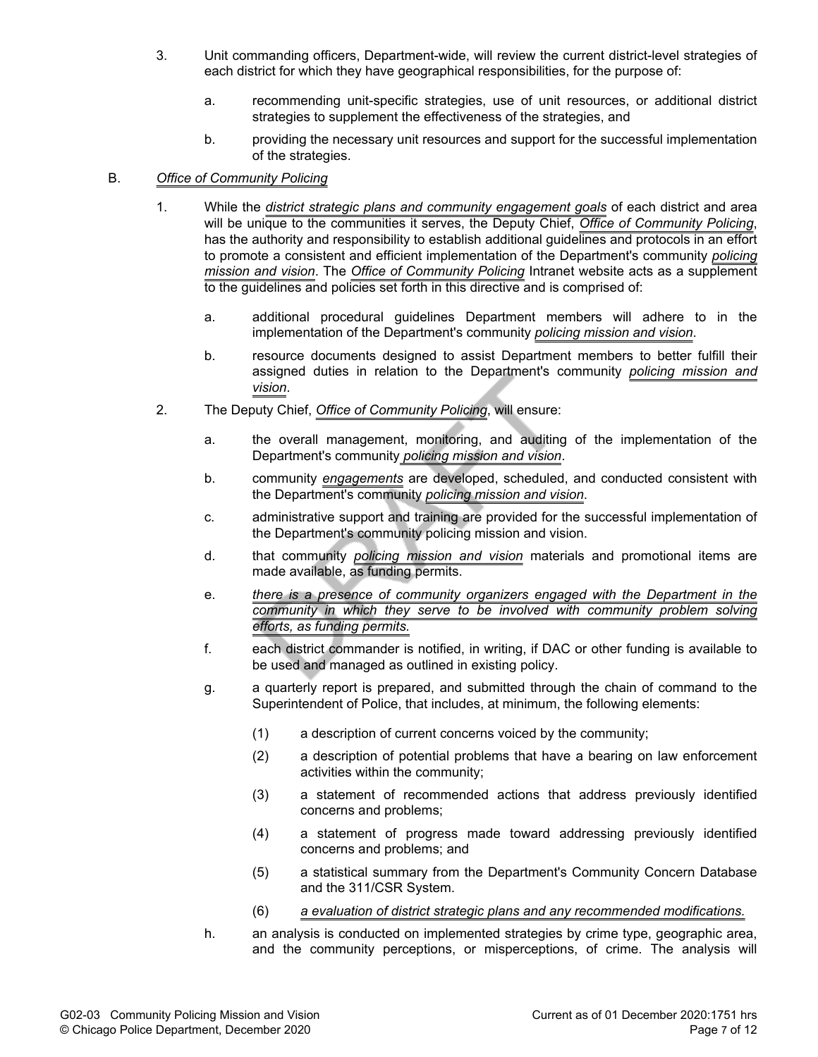- 3. Unit commanding officers, Department-wide, will review the current district-level strategies of each district for which they have geographical responsibilities, for the purpose of:
	- a. recommending unit-specific strategies, use of unit resources, or additional district strategies to supplement the effectiveness of the strategies, and
	- b. providing the necessary unit resources and support for the successful implementation of the strategies.

#### B. *Office of Community Policing*

- 1. While the *district strategic plans and community engagement goals* of each district and area will be unique to the communities it serves, the Deputy Chief, *Office of Community Policing*, has the authority and responsibility to establish additional guidelines and protocols in an effort to promote a consistent and efficient implementation of the Department's community *policing mission and vision*. The *Office of Community Policing* Intranet website acts as a supplement to the guidelines and policies set forth in this directive and is comprised of:
	- a. additional procedural guidelines Department members will adhere to in the implementation of the Department's community *policing mission and vision*.
	- b. resource documents designed to assist Department members to better fulfill their assigned duties in relation to the Department's community *policing mission and vision*.
- 2. The Deputy Chief, *Office of Community Policing*, will ensure:
	- a. the overall management, monitoring, and auditing of the implementation of the Department's community *policing mission and vision*.
	- b. community *engagements* are developed, scheduled, and conducted consistent with the Department's community *policing mission and vision*.
	- c. administrative support and training are provided for the successful implementation of the Department's community policing mission and vision.
	- d. that community *policing mission and vision* materials and promotional items are made available, as funding permits.
	- e. *there is a presence of community organizers engaged with the Department in the community in which they serve to be involved with community problem solving efforts, as funding permits.*
	- f. each district commander is notified, in writing, if DAC or other funding is available to be used and managed as outlined in existing policy.
	- g. a quarterly report is prepared, and submitted through the chain of command to the Superintendent of Police, that includes, at minimum, the following elements:
		- (1) a description of current concerns voiced by the community;
		- (2) a description of potential problems that have a bearing on law enforcement activities within the community;
		- (3) a statement of recommended actions that address previously identified concerns and problems;
		- (4) a statement of progress made toward addressing previously identified concerns and problems; and
		- (5) a statistical summary from the Department's Community Concern Database and the 311/CSR System.
		- (6) *a evaluation of district strategic plans and any recommended modifications.*
	- h. an analysis is conducted on implemented strategies by crime type, geographic area, and the community perceptions, or misperceptions, of crime. The analysis will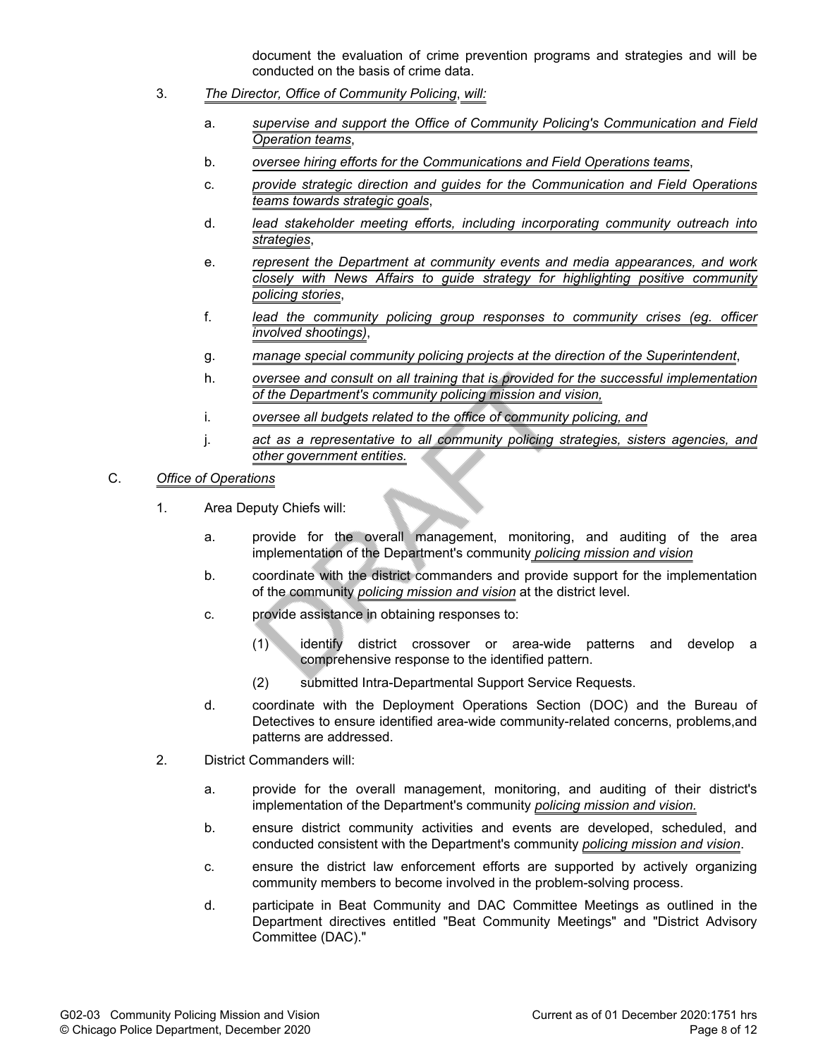document the evaluation of crime prevention programs and strategies and will be conducted on the basis of crime data.

- 3. *The Director, Office of Community Policing*, *will:*
	- a. *supervise and support the Office of Community Policing's Communication and Field Operation teams*,
	- b. *oversee hiring efforts for the Communications and Field Operations teams*,
	- c. *provide strategic direction and guides for the Communication and Field Operations teams towards strategic goals*,
	- d. *lead stakeholder meeting efforts, including incorporating community outreach into strategies*,
	- e. *represent the Department at community events and media appearances, and work closely with News Affairs to guide strategy for highlighting positive community policing stories*,
	- f. *lead the community policing group responses to community crises (eg. officer involved shootings)*,
	- g. *manage special community policing projects at the direction of the Superintendent*,
	- h. *oversee and consult on all training that is provided for the successful implementation of the Department's community policing mission and vision,*
	- i. *oversee all budgets related to the office of community policing, and*
	- j. *act as a representative to all community policing strategies, sisters agencies, and other government entities.*

#### C. *Office of Operations*

- 1. Area Deputy Chiefs will:
	- a. provide for the overall management, monitoring, and auditing of the area implementation of the Department's community *policing mission and vision*
	- b. coordinate with the district commanders and provide support for the implementation of the community *policing mission and vision* at the district level.
	- c. provide assistance in obtaining responses to:
		- (1) identify district crossover or area-wide patterns and develop a comprehensive response to the identified pattern.
		- (2) submitted Intra-Departmental Support Service Requests.
	- d. coordinate with the Deployment Operations Section (DOC) and the Bureau of Detectives to ensure identified area-wide community-related concerns, problems,and patterns are addressed.
- 2. District Commanders will:
	- a. provide for the overall management, monitoring, and auditing of their district's implementation of the Department's community *policing mission and vision.*
	- b. ensure district community activities and events are developed, scheduled, and conducted consistent with the Department's community *policing mission and vision*.
	- c. ensure the district law enforcement efforts are supported by actively organizing community members to become involved in the problem-solving process.
	- d. participate in Beat Community and DAC Committee Meetings as outlined in the Department directives entitled "Beat Community Meetings" and "District Advisory Committee (DAC)."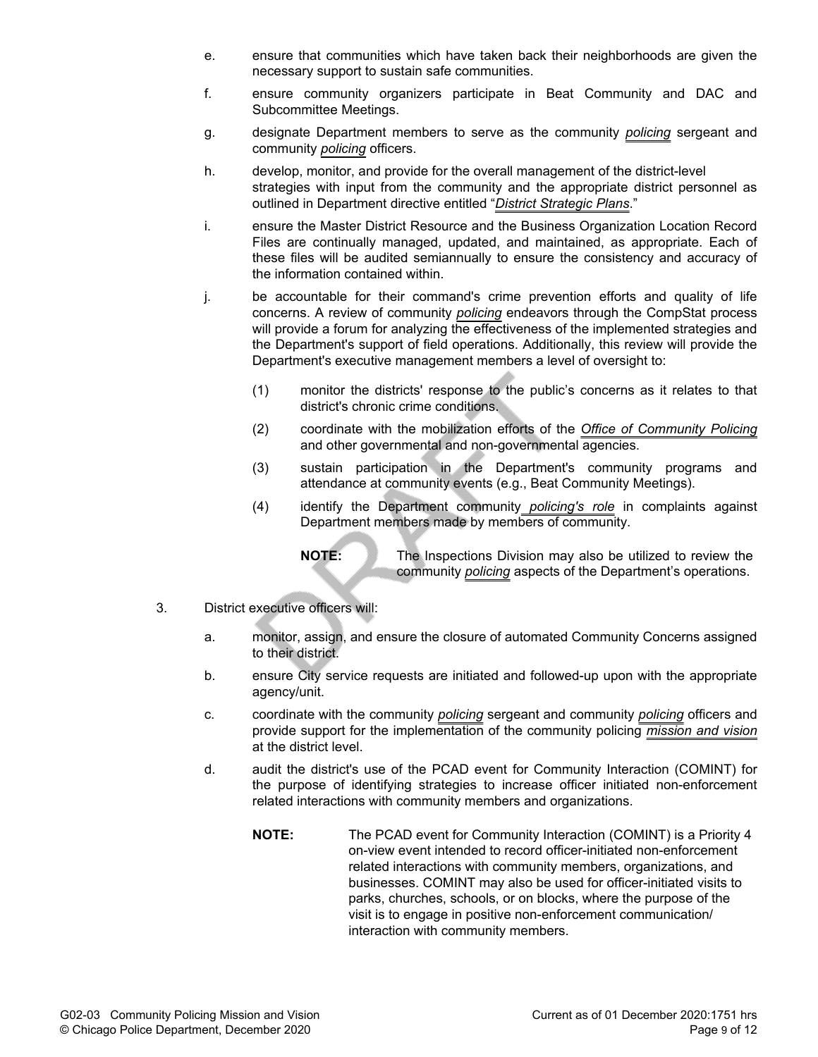- e. ensure that communities which have taken back their neighborhoods are given the necessary support to sustain safe communities.
- f. ensure community organizers participate in Beat Community and DAC and Subcommittee Meetings.
- g. designate Department members to serve as the community *policing* sergeant and community *policing* officers.
- h. develop, monitor, and provide for the overall management of the district-level strategies with input from the community and the appropriate district personnel as outlined in Department directive entitled "*District Strategic Plans*."
- i. ensure the Master District Resource and the Business Organization Location Record Files are continually managed, updated, and maintained, as appropriate. Each of these files will be audited semiannually to ensure the consistency and accuracy of the information contained within.
- j. be accountable for their command's crime prevention efforts and quality of life concerns. A review of community *policing* endeavors through the CompStat process will provide a forum for analyzing the effectiveness of the implemented strategies and the Department's support of field operations. Additionally, this review will provide the Department's executive management members a level of oversight to:
	- (1) monitor the districts' response to the public's concerns as it relates to that district's chronic crime conditions.
	- (2) coordinate with the mobilization efforts of the *Office of Community Policing* and other governmental and non-governmental agencies.
	- (3) sustain participation in the Department's community programs and attendance at community events (e.g., Beat Community Meetings).
	- (4) identify the Department community *policing's role* in complaints against Department members made by members of community.

**NOTE:** The Inspections Division may also be utilized to review the community *policing* aspects of the Department's operations.

- 3. District executive officers will:
	- a. monitor, assign, and ensure the closure of automated Community Concerns assigned to their district.
	- b. ensure City service requests are initiated and followed-up upon with the appropriate agency/unit.
	- c. coordinate with the community *policing* sergeant and community *policing* officers and provide support for the implementation of the community policing *mission and vision* at the district level.
	- d. audit the district's use of the PCAD event for Community Interaction (COMINT) for the purpose of identifying strategies to increase officer initiated non-enforcement related interactions with community members and organizations.
		- **NOTE:** The PCAD event for Community Interaction (COMINT) is a Priority 4 on-view event intended to record officer-initiated non-enforcement related interactions with community members, organizations, and businesses. COMINT may also be used for officer-initiated visits to parks, churches, schools, or on blocks, where the purpose of the visit is to engage in positive non-enforcement communication/ interaction with community members.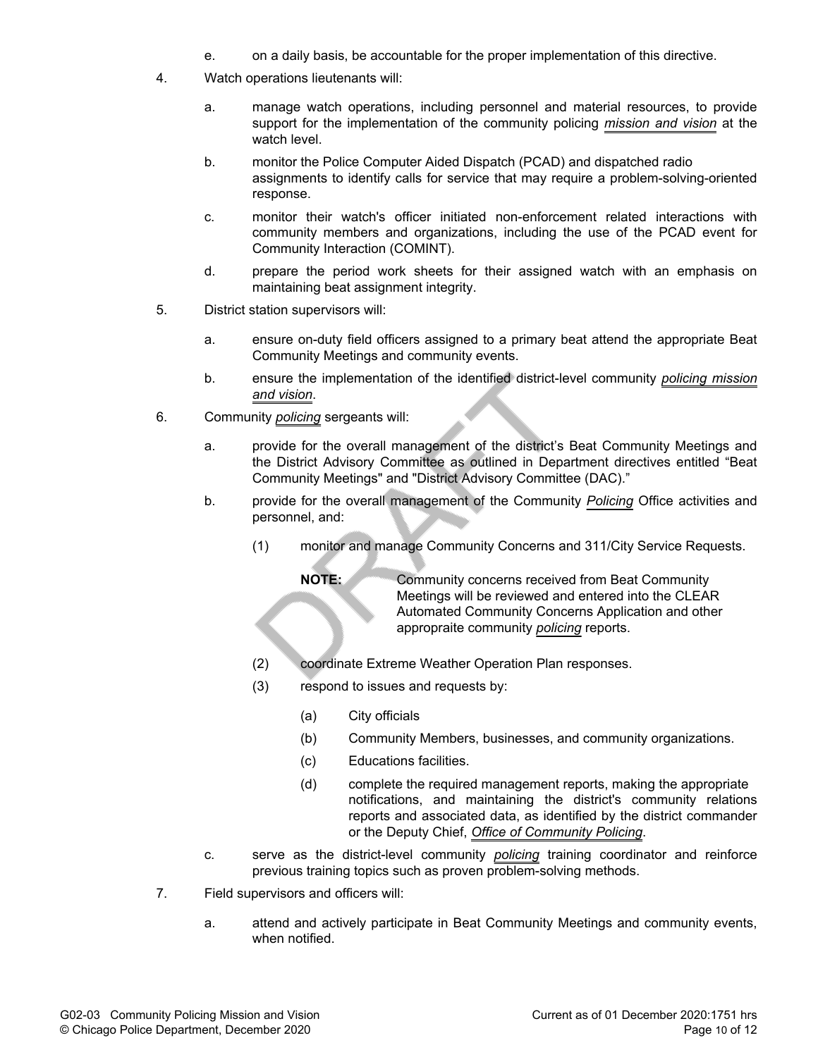- e. on a daily basis, be accountable for the proper implementation of this directive.
- 4. Watch operations lieutenants will:
	- a. manage watch operations, including personnel and material resources, to provide support for the implementation of the community policing *mission and vision* at the watch level.
	- b. monitor the Police Computer Aided Dispatch (PCAD) and dispatched radio assignments to identify calls for service that may require a problem-solving-oriented response.
	- c. monitor their watch's officer initiated non-enforcement related interactions with community members and organizations, including the use of the PCAD event for Community Interaction (COMINT).
	- d. prepare the period work sheets for their assigned watch with an emphasis on maintaining beat assignment integrity.
- 5. District station supervisors will:
	- a. ensure on-duty field officers assigned to a primary beat attend the appropriate Beat Community Meetings and community events.
	- b. ensure the implementation of the identified district-level community *policing mission and vision*.
- 6. Community *policing* sergeants will:
	- a. provide for the overall management of the district's Beat Community Meetings and the District Advisory Committee as outlined in Department directives entitled "Beat Community Meetings" and "District Advisory Committee (DAC)."
	- b. provide for the overall management of the Community *Policing* Office activities and personnel, and:
		- (1) monitor and manage Community Concerns and 311/City Service Requests.

**NOTE:** Community concerns received from Beat Community Meetings will be reviewed and entered into the CLEAR Automated Community Concerns Application and other appropraite community *policing* reports.

- (2) coordinate Extreme Weather Operation Plan responses.
- (3) respond to issues and requests by:
	- (a) City officials
	- (b) Community Members, businesses, and community organizations.
	- (c) Educations facilities.
	- (d) complete the required management reports, making the appropriate notifications, and maintaining the district's community relations reports and associated data, as identified by the district commander or the Deputy Chief, *Office of Community Policing*.
- c. serve as the district-level community *policing* training coordinator and reinforce previous training topics such as proven problem-solving methods.
- 7. Field supervisors and officers will:
	- a. attend and actively participate in Beat Community Meetings and community events, when notified.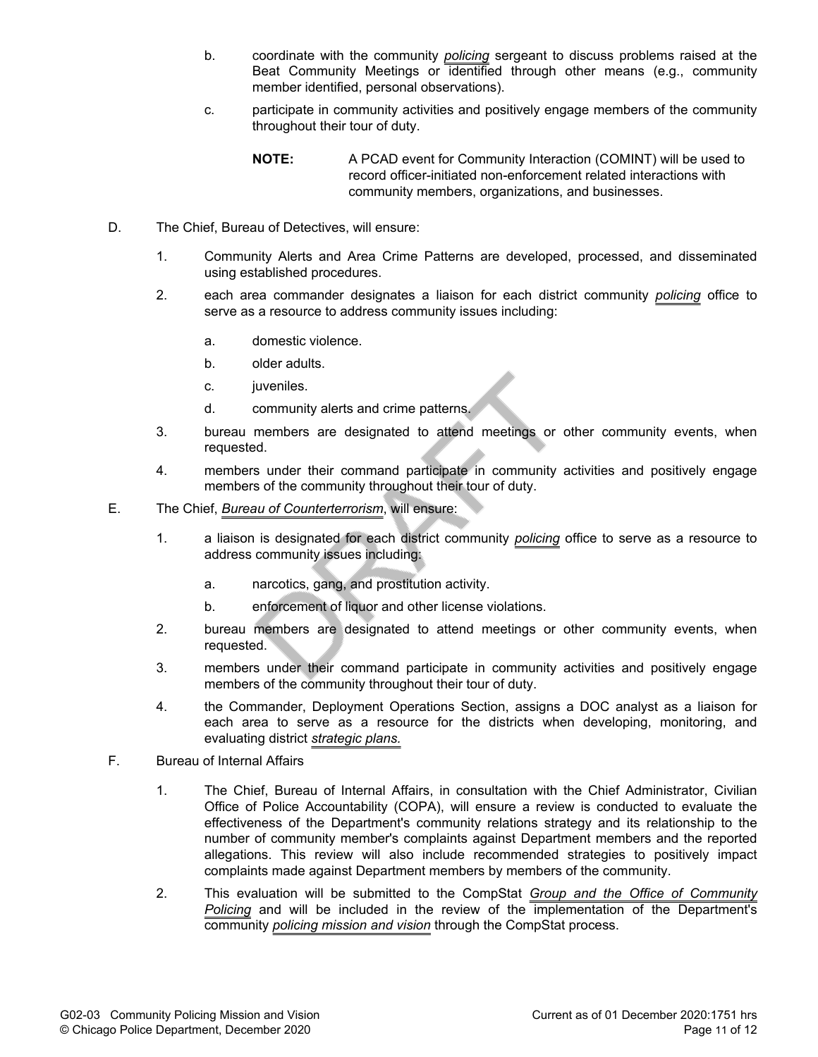- b. coordinate with the community *policing* sergeant to discuss problems raised at the Beat Community Meetings or identified through other means (e.g., community member identified, personal observations).
- c. participate in community activities and positively engage members of the community throughout their tour of duty.
	- **NOTE:** A PCAD event for Community Interaction (COMINT) will be used to record officer-initiated non-enforcement related interactions with community members, organizations, and businesses.
- D. The Chief, Bureau of Detectives, will ensure:
	- 1. Community Alerts and Area Crime Patterns are developed, processed, and disseminated using established procedures.
	- 2. each area commander designates a liaison for each district community *policing* office to serve as a resource to address community issues including:
		- a. domestic violence.
		- b. older adults.
		- c. juveniles.
		- d. community alerts and crime patterns.
	- 3. bureau members are designated to attend meetings or other community events, when requested.
	- 4. members under their command participate in community activities and positively engage members of the community throughout their tour of duty.
- E. The Chief, *Bureau of Counterterrorism*, will ensure:
	- 1. a liaison is designated for each district community *policing* office to serve as a resource to address community issues including:
		- a. narcotics, gang, and prostitution activity.
		- b. enforcement of liquor and other license violations.
	- 2. bureau members are designated to attend meetings or other community events, when requested.
	- 3. members under their command participate in community activities and positively engage members of the community throughout their tour of duty.
	- 4. the Commander, Deployment Operations Section, assigns a DOC analyst as a liaison for each area to serve as a resource for the districts when developing, monitoring, and evaluating district *strategic plans.*
- F. Bureau of Internal Affairs
	- 1. The Chief, Bureau of Internal Affairs, in consultation with the Chief Administrator, Civilian Office of Police Accountability (COPA), will ensure a review is conducted to evaluate the effectiveness of the Department's community relations strategy and its relationship to the number of community member's complaints against Department members and the reported allegations. This review will also include recommended strategies to positively impact complaints made against Department members by members of the community.
	- 2. This evaluation will be submitted to the CompStat *Group and the Office of Community Policing* and will be included in the review of the implementation of the Department's community *policing mission and vision* through the CompStat process.